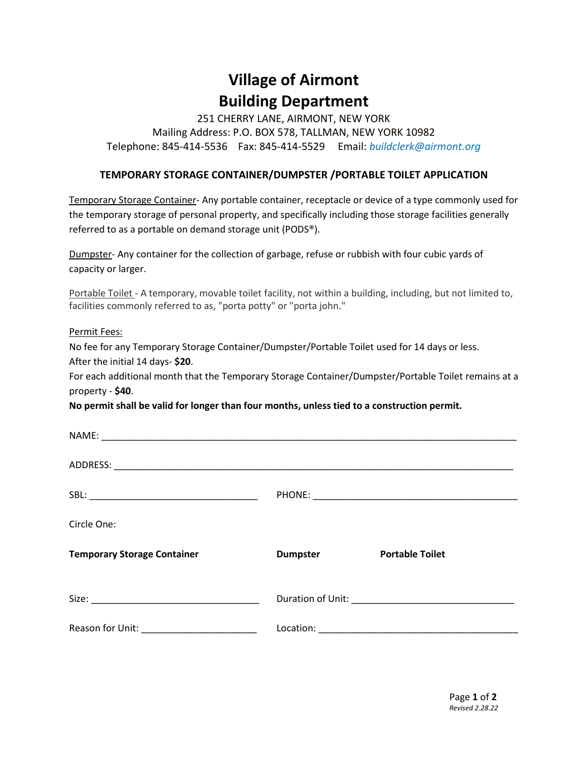# **Village of Airmont Building Department**

251 CHERRY LANE, AIRMONT, NEW YORK Mailing Address: P.O. BOX 578, TALLMAN, NEW YORK 10982 Telephone: 845-414-5536 Fax: 845-414-5529 Email: *buildclerk@airmont.org*

#### **TEMPORARY STORAGE CONTAINER/DUMPSTER /PORTABLE TOILET APPLICATION**

Temporary Storage Container- Any portable container, receptacle or device of a type commonly used for the temporary storage of personal property, and specifically including those storage facilities generally referred to as a portable on demand storage unit (PODS®).

Dumpster- Any container for the collection of garbage, refuse or rubbish with four cubic yards of capacity or larger.

Portable Toilet - A temporary, movable toilet facility, not within a building, including, but not limited to, facilities commonly referred to as, "porta potty" or "porta john."

Permit Fees:

No fee for any Temporary Storage Container/Dumpster/Portable Toilet used for 14 days or less. After the initial 14 days- **\$20**.

For each additional month that the Temporary Storage Container/Dumpster/Portable Toilet remains at a property - **\$40**.

**No permit shall be valid for longer than four months, unless tied to a construction permit.** 

| Circle One:                        |                 |                        |
|------------------------------------|-----------------|------------------------|
| <b>Temporary Storage Container</b> | <b>Dumpster</b> | <b>Portable Toilet</b> |
|                                    |                 |                        |
|                                    |                 |                        |